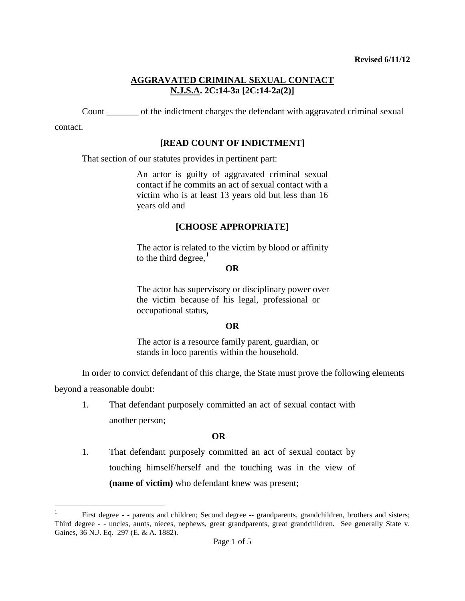Count \_\_\_\_\_\_\_ of the indictment charges the defendant with aggravated criminal sexual

contact.

# **[READ COUNT OF INDICTMENT]**

That section of our statutes provides in pertinent part:

An actor is guilty of aggravated criminal sexual contact if he commits an act of sexual contact with a victim who is at least 13 years old but less than 16 years old and

# **[CHOOSE APPROPRIATE]**

The actor is related to the victim by blood or affinity to the third degree, $<sup>1</sup>$  $<sup>1</sup>$  $<sup>1</sup>$ </sup>

**OR**

The actor has supervisory or disciplinary power over the victim because of his legal, professional or occupational status,

## **OR**

The actor is a resource family parent, guardian, or stands in loco parentis within the household.

In order to convict defendant of this charge, the State must prove the following elements

beyond a reasonable doubt:

1. That defendant purposely committed an act of sexual contact with another person;

## **OR**

1. That defendant purposely committed an act of sexual contact by touching himself/herself and the touching was in the view of **(name of victim)** who defendant knew was present;

<span id="page-0-1"></span><span id="page-0-0"></span> $\frac{1}{1}$ <sup>1</sup> First degree - - parents and children; Second degree -- grandparents, grandchildren, brothers and sisters; Third degree - - uncles, aunts, nieces, nephews, great grandparents, great grandchildren. See generally State v. Gaines, 36 N.J. Eq. 297 (E. & A. 1882).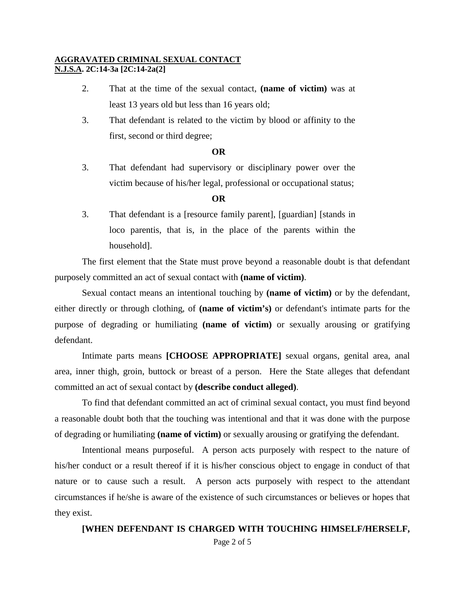- 2. That at the time of the sexual contact, **(name of victim)** was at least 13 years old but less than 16 years old;
- 3. That defendant is related to the victim by blood or affinity to the first, second or third degree;

#### **OR**

3. That defendant had supervisory or disciplinary power over the victim because of his/her legal, professional or occupational status;

### **OR**

3. That defendant is a [resource family parent], [guardian] [stands in loco parentis, that is, in the place of the parents within the household].

The first element that the State must prove beyond a reasonable doubt is that defendant purposely committed an act of sexual contact with **(name of victim)**.

Sexual contact means an intentional touching by **(name of victim)** or by the defendant, either directly or through clothing, of **(name of victim's)** or defendant's intimate parts for the purpose of degrading or humiliating **(name of victim)** or sexually arousing or gratifying defendant.

Intimate parts means **[CHOOSE APPROPRIATE]** sexual organs, genital area, anal area, inner thigh, groin, buttock or breast of a person. Here the State alleges that defendant committed an act of sexual contact by **(describe conduct alleged)**.

To find that defendant committed an act of criminal sexual contact, you must find beyond a reasonable doubt both that the touching was intentional and that it was done with the purpose of degrading or humiliating **(name of victim)** or sexually arousing or gratifying the defendant.

Intentional means purposeful. A person acts purposely with respect to the nature of his/her conduct or a result thereof if it is his/her conscious object to engage in conduct of that nature or to cause such a result. A person acts purposely with respect to the attendant circumstances if he/she is aware of the existence of such circumstances or believes or hopes that they exist.

# Page 2 of 5 **[WHEN DEFENDANT IS CHARGED WITH TOUCHING HIMSELF/HERSELF,**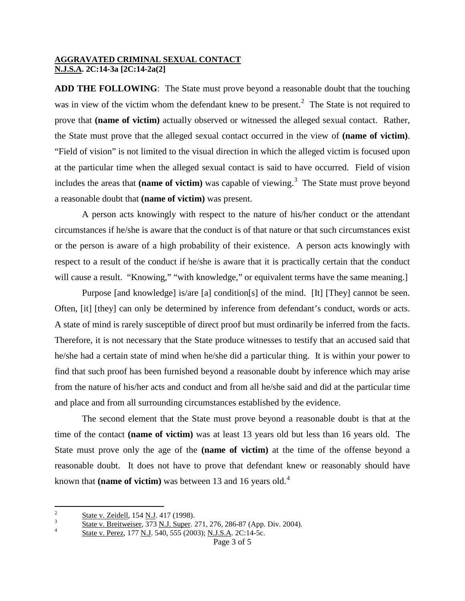**ADD THE FOLLOWING**: The State must prove beyond a reasonable doubt that the touching was in view of the victim whom the defendant knew to be present.<sup>[2](#page-0-1)</sup> The State is not required to prove that **(name of victim)** actually observed or witnessed the alleged sexual contact. Rather, the State must prove that the alleged sexual contact occurred in the view of **(name of victim)**. "Field of vision" is not limited to the visual direction in which the alleged victim is focused upon at the particular time when the alleged sexual contact is said to have occurred. Field of vision includes the areas that (name of victim) was capable of viewing.<sup>[3](#page-2-0)</sup> The State must prove beyond a reasonable doubt that **(name of victim)** was present.

A person acts knowingly with respect to the nature of his/her conduct or the attendant circumstances if he/she is aware that the conduct is of that nature or that such circumstances exist or the person is aware of a high probability of their existence. A person acts knowingly with respect to a result of the conduct if he/she is aware that it is practically certain that the conduct will cause a result. "Knowing," "with knowledge," or equivalent terms have the same meaning.

Purpose [and knowledge] is/are [a] condition[s] of the mind. [It] [They] cannot be seen. Often, [it] [they] can only be determined by inference from defendant's conduct, words or acts. A state of mind is rarely susceptible of direct proof but must ordinarily be inferred from the facts. Therefore, it is not necessary that the State produce witnesses to testify that an accused said that he/she had a certain state of mind when he/she did a particular thing. It is within your power to find that such proof has been furnished beyond a reasonable doubt by inference which may arise from the nature of his/her acts and conduct and from all he/she said and did at the particular time and place and from all surrounding circumstances established by the evidence.

The second element that the State must prove beyond a reasonable doubt is that at the time of the contact **(name of victim)** was at least 13 years old but less than 16 years old. The State must prove only the age of the **(name of victim)** at the time of the offense beyond a reasonable doubt. It does not have to prove that defendant knew or reasonably should have known that **(name of victim)** was between 13 and 16 years old.<sup>[4](#page-2-1)</sup>

<span id="page-2-2"></span> $\overline{c}$ 

<span id="page-2-0"></span> $\frac{2}{3}$  State v. Zeidell, 154 N.J. 417 (1998).<br>  $\frac{3}{4}$  State v. Breitweiser, 373 N.J. Super. 271, 276, 286-87 (App. Div. 2004).<br>
State v. Perez, 177 N.J. 540, 555 (2003); N.J.S.A. 2C:14-5c.

<span id="page-2-1"></span>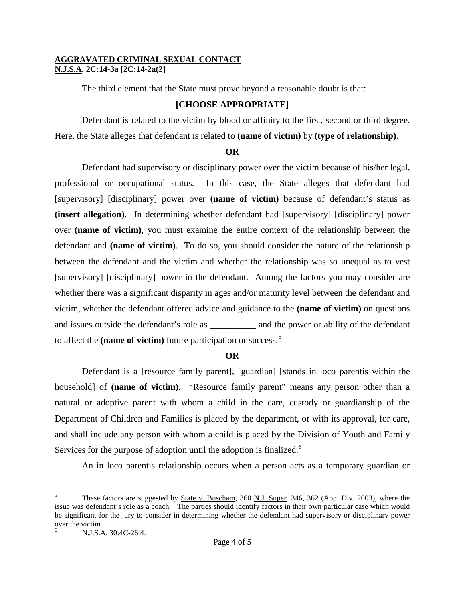The third element that the State must prove beyond a reasonable doubt is that:

## **[CHOOSE APPROPRIATE]**

Defendant is related to the victim by blood or affinity to the first, second or third degree. Here, the State alleges that defendant is related to **(name of victim)** by **(type of relationship)**.

## **OR**

Defendant had supervisory or disciplinary power over the victim because of his/her legal, professional or occupational status. In this case, the State alleges that defendant had [supervisory] [disciplinary] power over **(name of victim)** because of defendant's status as **(insert allegation)**. In determining whether defendant had [supervisory] [disciplinary] power over **(name of victim)**, you must examine the entire context of the relationship between the defendant and **(name of victim)**. To do so, you should consider the nature of the relationship between the defendant and the victim and whether the relationship was so unequal as to vest [supervisory] [disciplinary] power in the defendant. Among the factors you may consider are whether there was a significant disparity in ages and/or maturity level between the defendant and victim, whether the defendant offered advice and guidance to the **(name of victim)** on questions and issues outside the defendant's role as \_\_\_\_\_\_\_\_\_\_\_\_ and the power or ability of the defendant to affect the **(name of victim)** future participation or success.[5](#page-2-2)

## **OR**

Defendant is a [resource family parent], [guardian] [stands in loco parentis within the household] of **(name of victim)**. "Resource family parent" means any person other than a natural or adoptive parent with whom a child in the care, custody or guardianship of the Department of Children and Families is placed by the department, or with its approval, for care, and shall include any person with whom a child is placed by the Division of Youth and Family Services for the purpose of adoption until the adoption is finalized.<sup>[6](#page-3-0)</sup>

An in loco parentis relationship occurs when a person acts as a temporary guardian or

 $\overline{a}$ <sup>5</sup> These factors are suggested by State v. Buscham, 360 N.J. Super. 346, 362 (App. Div. 2003), where the issue was defendant's role as a coach. The parties should identify factors in their own particular case which would be significant for the jury to consider in determining whether the defendant had supervisory or disciplinary power over the victim.

<span id="page-3-0"></span><sup>6</sup> N.J.S.A. 30:4C-26.4.